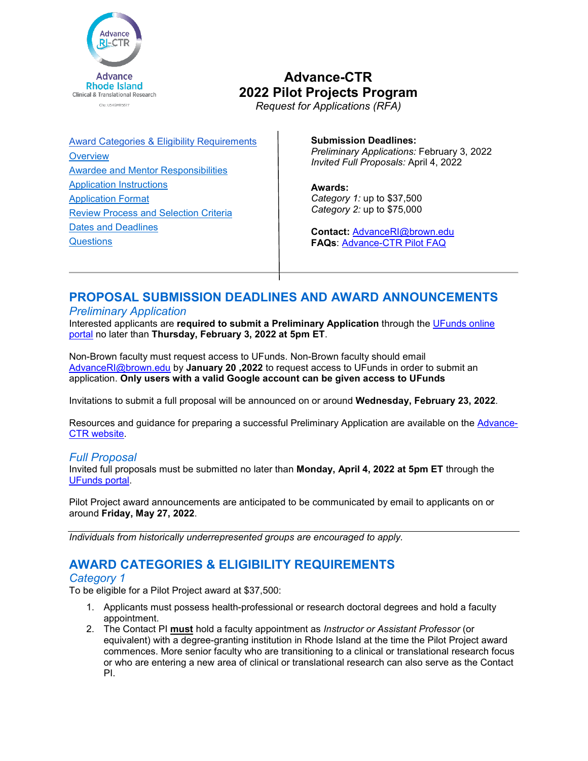

# **Advance-CTR 2022 Pilot Projects Program**

*Request for Applications (RFA)*

[Award Categories & Eligibility Requirements](#page-0-0) **[Overview](#page-1-0)** [Awardee and Mentor Responsibilities](#page-3-0) [Application Instructions](#page-4-0) [Application Format](#page-9-0) [Review Process and Selection Criteria](#page-9-1) [Dates and Deadlines](#page-10-0) **[Questions](#page-10-1)** 

**Submission Deadlines:** *Preliminary Applications:* February 3, 2022 *Invited Full Proposals:* April 4, 2022

**Awards:** *Category 1:* up to \$37,500 *Category 2:* up to \$75,000

**Contact:** [AdvanceRI@brown.edu](mailto:AdvanceRI@brown.edu) **FAQs**: [Advance-CTR Pilot FAQ](https://advancectr.brown.edu/award-programs/pilot-projects-program/frequently-asked-questions-pilot-projects)

## **PROPOSAL SUBMISSION DEADLINES AND AWARD ANNOUNCEMENTS**

#### *Preliminary Application*

Interested applicants are **required to submit a Preliminary Application** through the [UFunds online](https://ufunds.brown.edu/)  [portal](https://ufunds.brown.edu/) no later than **Thursday, February 3, 2022 at 5pm ET**.

Non-Brown faculty must request access to UFunds. Non-Brown faculty should email [AdvanceRI@brown.edu](mailto:AdvanceRI@brown.edu) by **January 20 ,2022** to request access to UFunds in order to submit an application. **Only users with a valid Google account can be given access to UFunds**

Invitations to submit a full proposal will be announced on or around **Wednesday, February 23, 2022**.

Resources and guidance for preparing a successful Preliminary Application are available on the [Advance-](https://advancectr.brown.edu/)[CTR website.](https://advancectr.brown.edu/)

## *Full Proposal*

Invited full proposals must be submitted no later than **Monday, April 4, 2022 at 5pm ET** through the [UFunds portal.](https://ufunds.brown.edu/)

Pilot Project award announcements are anticipated to be communicated by email to applicants on or around **Friday, May 27, 2022**.

<span id="page-0-0"></span>*Individuals from historically underrepresented groups are encouraged to apply.*

## **AWARD CATEGORIES & ELIGIBILITY REQUIREMENTS**

## *Category 1*

To be eligible for a Pilot Project award at \$37,500:

- <span id="page-0-1"></span>1. Applicants must possess health-professional or research doctoral degrees and hold a faculty appointment.
- 2. The Contact PI **must** hold a faculty appointment as *Instructor or Assistant Professor* (or equivalent) with a degree-granting institution in Rhode Island at the time the Pilot Project award commences. More senior faculty who are transitioning to a clinical or translational research focus or who are entering a new area of clinical or translational research can also serve as the Contact PI.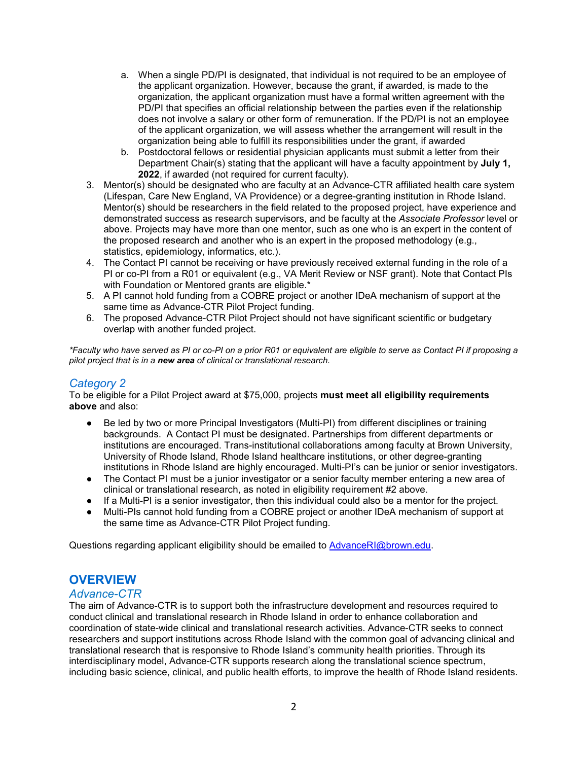- a. When a single PD/PI is designated, that individual is not required to be an employee of the applicant organization. However, because the grant, if awarded, is made to the organization, the applicant organization must have a formal written agreement with the PD/PI that specifies an official relationship between the parties even if the relationship does not involve a salary or other form of remuneration. If the PD/PI is not an employee of the applicant organization, we will assess whether the arrangement will result in the organization being able to fulfill its responsibilities under the grant, if awarded
- b. Postdoctoral fellows or residential physician applicants must submit a letter from their Department Chair(s) stating that the applicant will have a faculty appointment by **July 1, 2022**, if awarded (not required for current faculty).
- 3. Mentor(s) should be designated who are faculty at an Advance-CTR affiliated health care system (Lifespan, Care New England, VA Providence) or a degree-granting institution in Rhode Island. Mentor(s) should be researchers in the field related to the proposed project, have experience and demonstrated success as research supervisors, and be faculty at the *Associate Professor* level or above. Projects may have more than one mentor, such as one who is an expert in the content of the proposed research and another who is an expert in the proposed methodology (e.g., statistics, epidemiology, informatics, etc.).
- 4. The Contact PI cannot be receiving or have previously received external funding in the role of a PI or co-PI from a R01 or equivalent (e.g., VA Merit Review or NSF grant). Note that Contact PIs with Foundation or Mentored grants are eligible.\*
- 5. A PI cannot hold funding from a COBRE project or another IDeA mechanism of support at the same time as Advance-CTR Pilot Project funding.
- 6. The proposed Advance-CTR Pilot Project should not have significant scientific or budgetary overlap with another funded project.

*\*Faculty who have served as PI or co-PI on a prior R01 or equivalent are eligible to serve as Contact PI if proposing a pilot project that is in a new area of clinical or translational research.*

## *Category 2*

To be eligible for a Pilot Project award at \$75,000, projects **must meet all eligibility requirements above** and also:

- Be led by two or more Principal Investigators (Multi-PI) from different disciplines or training backgrounds. A Contact PI must be designated. Partnerships from different departments or institutions are encouraged. Trans-institutional collaborations among faculty at Brown University, University of Rhode Island, Rhode Island healthcare institutions, or other degree-granting institutions in Rhode Island are highly encouraged. Multi-PI's can be junior or senior investigators.
- The Contact PI must be a junior investigator or a senior faculty member entering a new area of clinical or translational research, as noted in eligibility requirement #2 above.
- If a Multi-PI is a senior investigator, then this individual could also be a mentor for the project.
- Multi-PIs cannot hold funding from a COBRE project or another IDeA mechanism of support at the same time as Advance-CTR Pilot Project funding.

Questions regarding applicant eligibility should be emailed to [AdvanceRI@brown.edu.](mailto:AdvanceRI@brown.edu)

## <span id="page-1-0"></span>**OVERVIEW**

#### *Advance-CTR*

The aim of Advance-CTR is to support both the infrastructure development and resources required to conduct clinical and translational research in Rhode Island in order to enhance collaboration and coordination of state-wide clinical and translational research activities. Advance-CTR seeks to connect researchers and support institutions across Rhode Island with the common goal of advancing clinical and translational research that is responsive to Rhode Island's community health priorities. Through its interdisciplinary model, Advance-CTR supports research along the translational science spectrum, including basic science, clinical, and public health efforts, to improve the health of Rhode Island residents.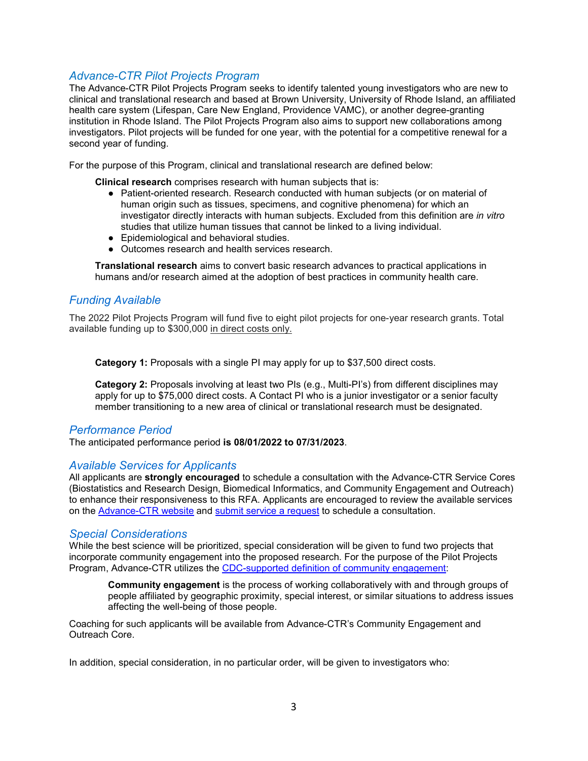## <span id="page-2-0"></span>*Advance-CTR Pilot Projects Program*

The Advance-CTR Pilot Projects Program seeks to identify talented young investigators who are new to clinical and translational research and based at Brown University, University of Rhode Island, an affiliated health care system (Lifespan, Care New England, Providence VAMC), or another degree-granting institution in Rhode Island. The Pilot Projects Program also aims to support new collaborations among investigators. Pilot projects will be funded for one year, with the potential for a competitive renewal for a second year of funding.

For the purpose of this Program, clinical and translational research are defined below:

**Clinical research** comprises research with human subjects that is:

- Patient-oriented research. Research conducted with human subjects (or on material of human origin such as tissues, specimens, and cognitive phenomena) for which an investigator directly interacts with human subjects. Excluded from this definition are *in vitro* studies that utilize human tissues that cannot be linked to a living individual.
- Epidemiological and behavioral studies.
- Outcomes research and health services research.

**Translational research** aims to convert basic research advances to practical applications in humans and/or research aimed at the adoption of best practices in community health care.

## *Funding Available*

The 2022 Pilot Projects Program will fund five to eight pilot projects for one-year research grants. Total available funding up to \$300,000 in direct costs only.

**Category 1:** Proposals with a single PI may apply for up to \$37,500 direct costs.

**Category 2:** Proposals involving at least two PIs (e.g., Multi-PI's) from different disciplines may apply for up to \$75,000 direct costs. A Contact PI who is a junior investigator or a senior faculty member transitioning to a new area of clinical or translational research must be designated.

#### *Performance Period*

The anticipated performance period **is 08/01/2022 to 07/31/2023**.

#### *Available Services for Applicants*

All applicants are **strongly encouraged** to schedule a consultation with the Advance-CTR Service Cores (Biostatistics and Research Design, Biomedical Informatics, and Community Engagement and Outreach) to enhance their responsiveness to this RFA. Applicants are encouraged to review the available services on the [Advance-CTR website](https://advancectr.brown.edu/) and [submit service a request](https://advancectr.brown.edu/schedule-service-consultation) to schedule a consultation.

#### <span id="page-2-1"></span>*Special Considerations*

While the best science will be prioritized, special consideration will be given to fund two projects that incorporate community engagement into the proposed research. For the purpose of the Pilot Projects Program, Advance-CTR utilizes the [CDC-supported definition of community engagement:](https://www.atsdr.cdc.gov/communityengagement/pdf/PCE_Report_508_FINAL.pdf)

**Community engagement** is the process of working collaboratively with and through groups of people affiliated by geographic proximity, special interest, or similar situations to address issues affecting the well-being of those people.

Coaching for such applicants will be available from Advance-CTR's Community Engagement and Outreach Core.

In addition, special consideration, in no particular order, will be given to investigators who: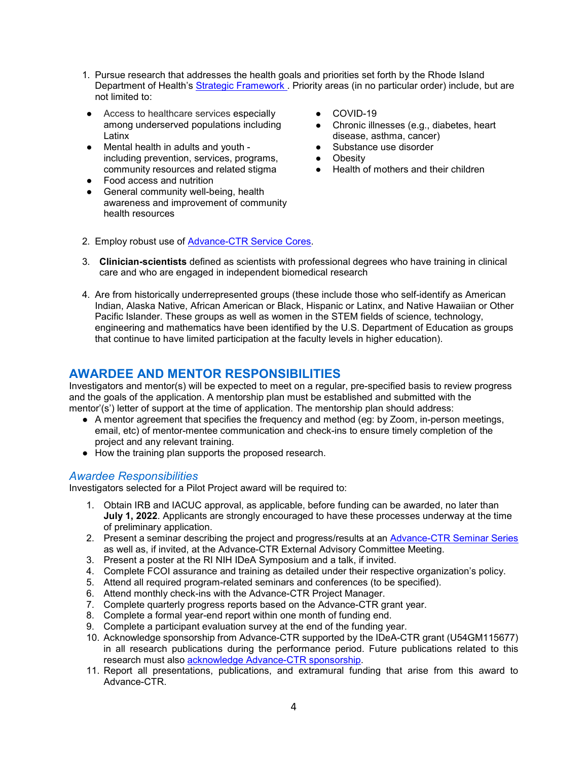- 1. Pursue research that addresses the health goals and priorities set forth by the Rhode Island Department of Health's [Strategic Framework](https://health.ri.gov/about/strategicframework/) . Priority areas (in no particular order) include, but are not limited to:
- Access to healthcare services especially among underserved populations including Latinx
- Mental health in adults and youth including prevention, services, programs, community resources and related stigma
- Food access and nutrition
- General community well-being, health awareness and improvement of community health resources
- COVID-19
- Chronic illnesses (e.g., diabetes, heart disease, asthma, cancer)
- Substance use disorder
- Obesity
- Health of mothers and their children
- 2. Employ robust use of [Advance-CTR Service Cores.](https://advancectr.brown.edu/research-services)
- 3. **Clinician-scientists** defined as scientists with professional degrees who have training in clinical care and who are engaged in independent biomedical research
- 4. Are from historically underrepresented groups (these include those who self-identify as American Indian, Alaska Native, African American or Black, Hispanic or Latinx, and Native Hawaiian or Other Pacific Islander. These groups as well as women in the STEM fields of science, technology, engineering and mathematics have been identified by the U.S. Department of Education as groups that continue to have limited participation at the faculty levels in higher education).

## <span id="page-3-0"></span>**AWARDEE AND MENTOR RESPONSIBILITIES**

Investigators and mentor(s) will be expected to meet on a regular, pre-specified basis to review progress and the goals of the application. A mentorship plan must be established and submitted with the mentor'(s') letter of support at the time of application. The mentorship plan should address:

- A mentor agreement that specifies the frequency and method (eg: by Zoom, in-person meetings, email, etc) of mentor-mentee communication and check-ins to ensure timely completion of the project and any relevant training.
- How the training plan supports the proposed research.

#### <span id="page-3-1"></span>*Awardee Responsibilities*

Investigators selected for a Pilot Project award will be required to:

- 1. Obtain IRB and IACUC approval, as applicable, before funding can be awarded, no later than **July 1, 2022**. Applicants are strongly encouraged to have these processes underway at the time of preliminary application.
- 2. Present a seminar describing the project and progress/results at an **Advance-CTR Seminar Series** as well as, if invited, at the Advance-CTR External Advisory Committee Meeting.
- 3. Present a poster at the RI NIH IDeA Symposium and a talk, if invited.
- 4. Complete FCOI assurance and training as detailed under their respective organization's policy.
- 5. Attend all required program-related seminars and conferences (to be specified).
- 6. Attend monthly check-ins with the Advance-CTR Project Manager.
- 7. Complete quarterly progress reports based on the Advance-CTR grant year.
- 8. Complete a formal year-end report within one month of funding end.
- 9. Complete a participant evaluation survey at the end of the funding year.
- 10. Acknowledge sponsorship from Advance-CTR supported by the IDeA-CTR grant (U54GM115677) in all research publications during the performance period. Future publications related to this research must also [acknowledge Advance-CTR sponsorship.](https://advancectr.brown.edu/about-us/cite-advance-ctr)
- 11. Report all presentations, publications, and extramural funding that arise from this award to Advance-CTR.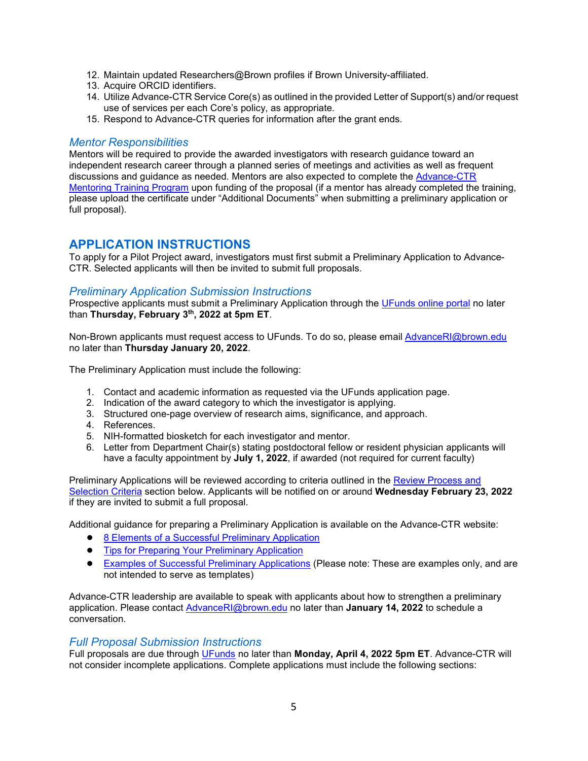- 12. Maintain updated Researchers@Brown profiles if Brown University-affiliated.
- 13. Acquire ORCID identifiers.
- 14. Utilize Advance-CTR Service Core(s) as outlined in the provided Letter of Support(s) and/or request use of services per each Core's policy, as appropriate.
- 15. Respond to Advance-CTR queries for information after the grant ends.

#### *Mentor Responsibilities*

Mentors will be required to provide the awarded investigators with research guidance toward an independent research career through a planned series of meetings and activities as well as frequent discussions and guidance as needed. Mentors are also expected to complete the [Advance-CTR](https://advancectr.brown.edu/events-training/mentoring-training-program)  [Mentoring Training Program](https://advancectr.brown.edu/events-training/mentoring-training-program) upon funding of the proposal (if a mentor has already completed the training, please upload the certificate under "Additional Documents" when submitting a preliminary application or full proposal).

## <span id="page-4-0"></span>**APPLICATION INSTRUCTIONS**

To apply for a Pilot Project award, investigators must first submit a Preliminary Application to Advance-CTR. Selected applicants will then be invited to submit full proposals.

## *Preliminary Application Submission Instructions*

Prospective applicants must submit a Preliminary Application through the [UFunds online portal](https://ufunds.brown.edu/) no later than **Thursday, February 3th, 2022 at 5pm ET**.

Non-Brown applicants must request access to UFunds. To do so, please email [AdvanceRI@brown.edu](mailto:AdvanceRI@brown.edu) no later than **Thursday January 20, 2022**.

The Preliminary Application must include the following:

- 1. Contact and academic information as requested via the UFunds application page.
- 2. Indication of the award category to which the investigator is applying.
- 3. Structured one-page overview of research aims, significance, and approach.
- 4. References.
- 5. NIH-formatted biosketch for each investigator and mentor.
- 6. Letter from Department Chair(s) stating postdoctoral fellow or resident physician applicants will have a faculty appointment by **July 1, 2022**, if awarded (not required for current faculty)

Preliminary Applications will be reviewed according to criteria outlined in the Review Process and [Selection Criteria](#page-9-1) section below. Applicants will be notified on or around **Wednesday February 23, 2022**  if they are invited to submit a full proposal.

Additional guidance for preparing a Preliminary Application is available on the Advance-CTR website:

- [8 Elements of a Successful Preliminary Application](https://advancectr.brown.edu/8-elements-successful-preliminary-application)
- [Tips for Preparing Your Preliminary Application](https://advancectr.brown.edu/tips-preparing-your-preliminary-application)
- [Examples of Successful Preliminary Applications](https://advancectr.brown.edu/award-programs/pilot-projects-program/application-resources-pilot-projects) (Please note: These are examples only, and are not intended to serve as templates)

Advance-CTR leadership are available to speak with applicants about how to strengthen a preliminary application. Please contact [AdvanceRI@brown.edu](mailto:AdvanceRI@brown.edu) no later than **January 14, 2022** to schedule a conversation.

## *Full Proposal Submission Instructions*

Full proposals are due through [UFunds](https://ufunds.brown.edu/) no later than **Monday, April 4, 2022 5pm ET**. Advance-CTR will not consider incomplete applications. Complete applications must include the following sections: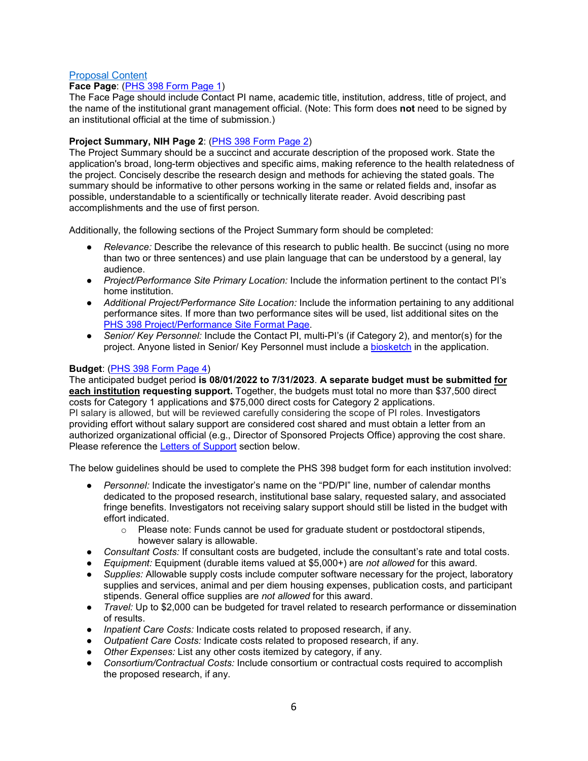#### Proposal Content

#### **Face Page**: [\(PHS 398 Form Page 1\)](https://grants.nih.gov/grants/funding/phs398/fp1.pdf)

The Face Page should include Contact PI name, academic title, institution, address, title of project, and the name of the institutional grant management official. (Note: This form does **not** need to be signed by an institutional official at the time of submission.)

#### **Project Summary, NIH Page 2**: (PHS [398 Form Page 2\)](https://grants.nih.gov/grants/funding/phs398/fp2.pdf)

The Project Summary should be a succinct and accurate description of the proposed work. State the application's broad, long-term objectives and specific aims, making reference to the health relatedness of the project. Concisely describe the research design and methods for achieving the stated goals. The summary should be informative to other persons working in the same or related fields and, insofar as possible, understandable to a scientifically or technically literate reader. Avoid describing past accomplishments and the use of first person.

Additionally, the following sections of the Project Summary form should be completed:

- *Relevance:* Describe the relevance of this research to public health. Be succinct (using no more than two or three sentences) and use plain language that can be understood by a general, lay audience.
- *Project/Performance Site Primary Location:* Include the information pertinent to the contact PI's home institution.
- *Additional Project/Performance Site Location:* Include the information pertaining to any additional performance sites. If more than two performance sites will be used, list additional sites on the [PHS 398 Project/Performance Site Format Page.](https://grants.nih.gov/grants/funding/phs398/performancesites.pdf)
- *Senior/ Key Personnel:* Include the Contact PI, multi-PI's (if Category 2), and mentor(s) for the project. Anyone listed in Senior/ Key Personnel must include a [biosketch](https://grants.nih.gov/grants/forms/biosketch-blank-format-rev-12-2020-exp-02-28-2023.docx) in the application.

#### **Budget**: [\(PHS 398 Form Page 4\)](https://grants.nih.gov/grants/funding/phs398/fp4.pdf)

The anticipated budget period **is 08/01/2022 to 7/31/2023**. **A separate budget must be submitted for each institution requesting support.** Together, the budgets must total no more than \$37,500 direct costs for Category 1 applications and \$75,000 direct costs for Category 2 applications. PI salary is allowed, but will be reviewed carefully considering the scope of PI roles. Investigators providing effort without salary support are considered cost shared and must obtain a letter from an authorized organizational official (e.g., Director of Sponsored Projects Office) approving the cost share. Please reference the [Letters of Support](#page-8-0) section below.

The below guidelines should be used to complete the PHS 398 budget form for each institution involved:

- *Personnel:* Indicate the investigator's name on the "PD/PI" line, number of calendar months dedicated to the proposed research, institutional base salary, requested salary, and associated fringe benefits. Investigators not receiving salary support should still be listed in the budget with effort indicated.
	- $\circ$  Please note: Funds cannot be used for graduate student or postdoctoral stipends, however salary is allowable.
- *Consultant Costs:* If consultant costs are budgeted, include the consultant's rate and total costs.
- *Equipment:* Equipment (durable items valued at \$5,000+) are *not allowed* for this award.
- *Supplies:* Allowable supply costs include computer software necessary for the project, laboratory supplies and services, animal and per diem housing expenses, publication costs, and participant stipends. General office supplies are *not allowed* for this award.
- *Travel:* Up to \$2,000 can be budgeted for travel related to research performance or dissemination of results.
- *Inpatient Care Costs:* Indicate costs related to proposed research, if any.
- *Outpatient Care Costs:* Indicate costs related to proposed research, if any.
- *Other Expenses:* List any other costs itemized by category, if any.
- *Consortium/Contractual Costs:* Include consortium or contractual costs required to accomplish the proposed research, if any.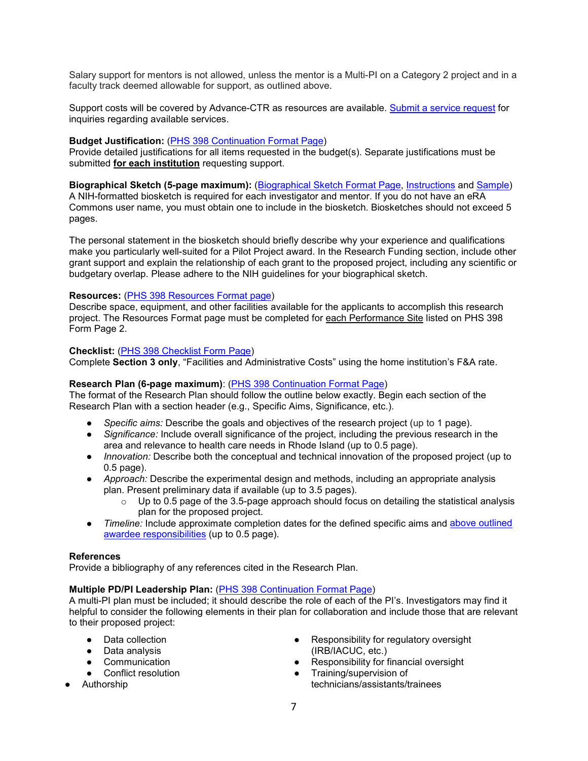Salary support for mentors is not allowed, unless the mentor is a Multi-PI on a Category 2 project and in a faculty track deemed allowable for support, as outlined above.

Support costs will be covered by Advance-CTR as resources are available. [Submit a service request](https://advancectr.brown.edu/schedule-service-consultation) for inquiries regarding available services.

#### **Budget Justification:** [\(PHS 398 Continuation Format Page\)](https://grants.nih.gov/grants/funding/phs398/398_continuation.docx)

Provide detailed justifications for all items requested in the budget(s). Separate justifications must be submitted **for each institution** requesting support.

**Biographical Sketch (5-page maximum):** [\(Biographical Sketch Format Page,](https://grants.nih.gov/grants/forms/biosketch-blank-format-rev-12-2020-exp-02-28-2023.docx) [Instructions](http://grants.nih.gov/grants/forms/application-guide-biosketch-instructions-rev-06-28-2021.docx) and [Sample\)](http://grants.nih.gov/grants/forms/non-fellowship-biosketch-sample-2021.docx) A NIH-formatted biosketch is required for each investigator and mentor. If you do not have an eRA Commons user name, you must obtain one to include in the biosketch. Biosketches should not exceed 5

pages.

The personal statement in the biosketch should briefly describe why your experience and qualifications make you particularly well-suited for a Pilot Project award. In the Research Funding section, include other grant support and explain the relationship of each grant to the proposed project, including any scientific or budgetary overlap. Please adhere to the NIH guidelines for your biographical sketch.

#### Resources: [\(PHS 398 Resources](https://grants.nih.gov/grants/funding/phs398/398_resources.docx) [Format page\)](https://grants.nih.gov/grants/funding/phs398/398_resources.docx)

Describe space, equipment, and other facilities available for the applicants to accomplish this research project. The Resources Format page must be completed for each Performance Site listed on PHS 398 Form Page 2.

#### **Checklist:** [\(PHS 398 Checklist Form Page\)](https://grants.nih.gov/grants/funding/phs398/checklist.pdf)

Complete **Section 3 only**, "Facilities and Administrative Costs" using the home institution's F&A rate.

#### **Research Plan (6-page maximum)**: [\(PHS 398 Continuation Format Page\)](https://grants.nih.gov/grants/funding/phs398/398_continuation.docx)

The format of the Research Plan should follow the outline below exactly. Begin each section of the Research Plan with a section header (e.g., Specific Aims, Significance, etc.).

- Specific aims: Describe the goals and objectives of the research project (up to 1 page).
- *Significance:* Include overall significance of the project, including the previous research in the area and relevance to health care needs in Rhode Island (up to 0.5 page).
- *Innovation:* Describe both the conceptual and technical innovation of the proposed project (up to 0.5 page).
- *Approach:* Describe the experimental design and methods, including an appropriate analysis plan. Present preliminary data if available (up to 3.5 pages).
	- $\circ$  Up to 0.5 page of the 3.5-page approach should focus on detailing the statistical analysis plan for the proposed project.
- *Timeline:* Include approximate completion dates for the defined specific aims and above outlined [awardee responsibilities](#page-3-1) (up to 0.5 page).

#### **References**

Provide a bibliography of any references cited in the Research Plan.

#### **Multiple PD/PI Leadership Plan:** [\(PHS 398 Continuation Format Page\)](https://grants.nih.gov/grants/funding/phs398/398_continuation.docx)

A multi-PI plan must be included; it should describe the role of each of the PI's. Investigators may find it helpful to consider the following elements in their plan for collaboration and include those that are relevant to their proposed project:

- Data collection
- Data analysis
- Communication
- Conflict resolution
- Authorship
- Responsibility for regulatory oversight (IRB/IACUC, etc.)
- Responsibility for financial oversight
- Training/supervision of technicians/assistants/trainees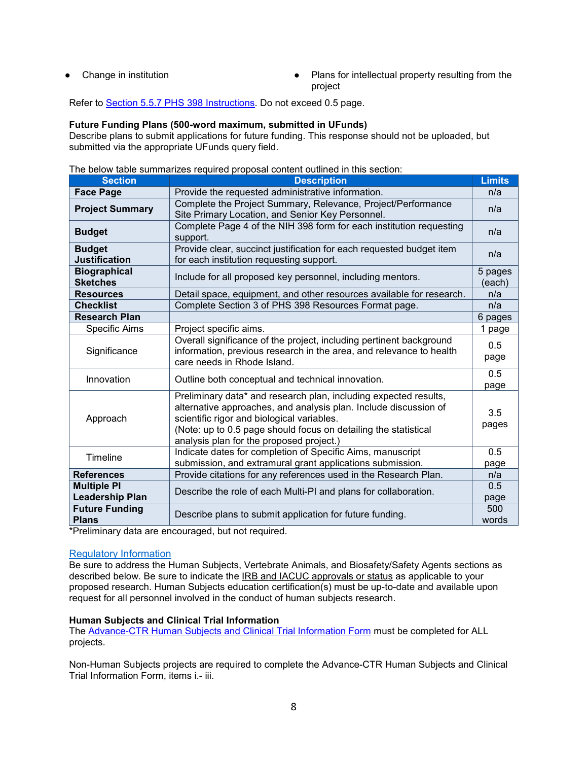- 
- Change in institution <br>● Plans for intellectual property resulting from the project

Refer to [Section 5.5.7 PHS 398 Instructions.](https://grants.nih.gov/grants/funding/phs398/phs398.pdf) Do not exceed 0.5 page.

#### **Future Funding Plans (500-word maximum, submitted in UFunds)**

Describe plans to submit applications for future funding. This response should not be uploaded, but submitted via the appropriate UFunds query field.

The below table summarizes required proposal content outlined in this section:

| <b>Section</b>                               | <b>Description</b>                                                                                                                                                                                                                                                                                | <b>Limits</b> |  |
|----------------------------------------------|---------------------------------------------------------------------------------------------------------------------------------------------------------------------------------------------------------------------------------------------------------------------------------------------------|---------------|--|
| <b>Face Page</b>                             | Provide the requested administrative information.                                                                                                                                                                                                                                                 | n/a           |  |
| <b>Project Summary</b>                       | Complete the Project Summary, Relevance, Project/Performance<br>Site Primary Location, and Senior Key Personnel.                                                                                                                                                                                  |               |  |
| <b>Budget</b>                                | Complete Page 4 of the NIH 398 form for each institution requesting<br>support.                                                                                                                                                                                                                   |               |  |
| <b>Budget</b><br><b>Justification</b>        | Provide clear, succinct justification for each requested budget item<br>for each institution requesting support.                                                                                                                                                                                  |               |  |
| <b>Biographical</b><br><b>Sketches</b>       | Include for all proposed key personnel, including mentors.                                                                                                                                                                                                                                        |               |  |
| <b>Resources</b>                             | Detail space, equipment, and other resources available for research.                                                                                                                                                                                                                              |               |  |
| <b>Checklist</b>                             | Complete Section 3 of PHS 398 Resources Format page.                                                                                                                                                                                                                                              | n/a           |  |
| <b>Research Plan</b>                         |                                                                                                                                                                                                                                                                                                   | 6 pages       |  |
| <b>Specific Aims</b>                         | Project specific aims.                                                                                                                                                                                                                                                                            | 1 page        |  |
| Significance                                 | Overall significance of the project, including pertinent background<br>information, previous research in the area, and relevance to health<br>care needs in Rhode Island.                                                                                                                         |               |  |
| Innovation                                   | Outline both conceptual and technical innovation.                                                                                                                                                                                                                                                 |               |  |
| Approach                                     | Preliminary data* and research plan, including expected results,<br>alternative approaches, and analysis plan. Include discussion of<br>scientific rigor and biological variables.<br>(Note: up to 0.5 page should focus on detailing the statistical<br>analysis plan for the proposed project.) |               |  |
| Timeline                                     | Indicate dates for completion of Specific Aims, manuscript<br>submission, and extramural grant applications submission.                                                                                                                                                                           |               |  |
| <b>References</b>                            | Provide citations for any references used in the Research Plan.                                                                                                                                                                                                                                   | n/a           |  |
| <b>Multiple PI</b><br><b>Leadership Plan</b> | Describe the role of each Multi-PI and plans for collaboration.                                                                                                                                                                                                                                   |               |  |
| <b>Future Funding</b><br><b>Plans</b>        | Describe plans to submit application for future funding.                                                                                                                                                                                                                                          |               |  |

\*Preliminary data are encouraged, but not required.

#### Regulatory Information

Be sure to address the Human Subjects, Vertebrate Animals, and Biosafety/Safety Agents sections as described below. Be sure to indicate the IRB and IACUC approvals or status as applicable to your proposed research. Human Subjects education certification(s) must be up-to-date and available upon request for all personnel involved in the conduct of human subjects research.

#### **Human Subjects and Clinical Trial Information**

The [Advance-CTR Human Subjects and Clinical Trial Information Form](https://advancectr.brown.edu/award-programs/awardee-archive/pilot-awardees/human-subjects-and-clinical-trial-information-form) must be completed for ALL projects.

Non-Human Subjects projects are required to complete the Advance-CTR Human Subjects and Clinical Trial Information Form, items i.- iii.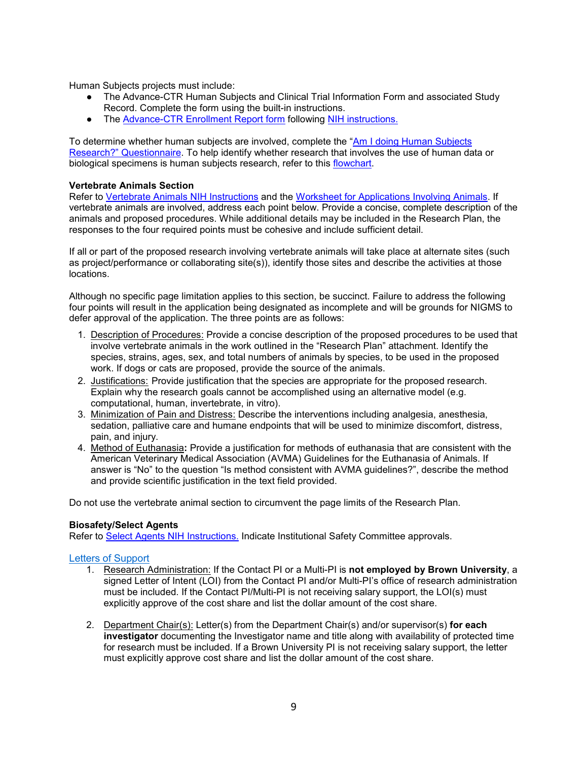Human Subjects projects must include:

- The Advance-CTR Human Subjects and Clinical Trial Information Form and associated Study Record. Complete the form using the built-in instructions.
- The [Advance-CTR Enrollment Report form](https://www.brown.edu/initiatives/translational-research/sites/translational-research/files/images/Advance-CTR_IER_ASSIST.xlsx) following [NIH instructions.](https://grants.nih.gov/grants/how-to-apply-application-guide/forms-e/general/g.500-phs-human-subjects-and-clinical-trials-information.htm#Inclusion)

To determine whether human subjects are involved, complete the ["Am I doing Human Subjects](https://grants.nih.gov/policy/humansubjects/research.htm)  [Research?" Questionnaire.](https://grants.nih.gov/policy/humansubjects/research.htm) To help identify whether research that involves the use of human data or biological specimens is human subjects research, refer to this [flowchart.](http://grants.nih.gov/grants/policy/hs/PrivateInfoOrBioSpecimensDecisionChart.pdf)

#### **Vertebrate Animals Section**

Refer to [Vertebrate Animals NIH Instructions](https://grants.nih.gov/grants/how-to-apply-application-guide/forms-e/general/g.400-phs-398-research-plan-form.htm#5) and the [Worksheet for Applications Involving Animals.](https://grants.nih.gov/grants/olaw/vaschecklist.pdf) If vertebrate animals are involved, address each point below. Provide a concise, complete description of the animals and proposed procedures. While additional details may be included in the Research Plan, the responses to the four required points must be cohesive and include sufficient detail.

If all or part of the proposed research involving vertebrate animals will take place at alternate sites (such as project/performance or collaborating site(s)), identify those sites and describe the activities at those locations.

Although no specific page limitation applies to this section, be succinct. Failure to address the following four points will result in the application being designated as incomplete and will be grounds for NIGMS to defer approval of the application. The three points are as follows:

- 1. Description of Procedures: Provide a concise description of the proposed procedures to be used that involve vertebrate animals in the work outlined in the "Research Plan" attachment. Identify the species, strains, ages, sex, and total numbers of animals by species, to be used in the proposed work. If dogs or cats are proposed, provide the source of the animals.
- 2. Justifications: Provide justification that the species are appropriate for the proposed research. Explain why the research goals cannot be accomplished using an alternative model (e.g. computational, human, invertebrate, in vitro).
- 3. Minimization of Pain and Distress: Describe the interventions including analgesia, anesthesia, sedation, palliative care and humane endpoints that will be used to minimize discomfort, distress, pain, and injury.
- 4. Method of Euthanasia**:** Provide a justification for methods of euthanasia that are consistent with the American Veterinary Medical Association (AVMA) Guidelines for the Euthanasia of Animals. If answer is "No" to the question "Is method consistent with AVMA guidelines?", describe the method and provide scientific justification in the text field provided.

Do not use the vertebrate animal section to circumvent the page limits of the Research Plan.

#### **Biosafety/Select Agents**

Refer to [Select Agents NIH Instructions.](https://grants.nih.gov/grants/how-to-apply-application-guide/forms-e/general/g.400-phs-398-research-plan-form.htm#6) Indicate Institutional Safety Committee approvals.

#### <span id="page-8-0"></span>Letters of Support

- 1. Research Administration: If the Contact PI or a Multi-PI is **not employed by Brown University**, a signed Letter of Intent (LOI) from the Contact PI and/or Multi-PI's office of research administration must be included. If the Contact PI/Multi-PI is not receiving salary support, the LOI(s) must explicitly approve of the cost share and list the dollar amount of the cost share.
- 2. Department Chair(s): Letter(s) from the Department Chair(s) and/or supervisor(s) **for each investigator** documenting the Investigator name and title along with availability of protected time for research must be included. If a Brown University PI is not receiving salary support, the letter must explicitly approve cost share and list the dollar amount of the cost share.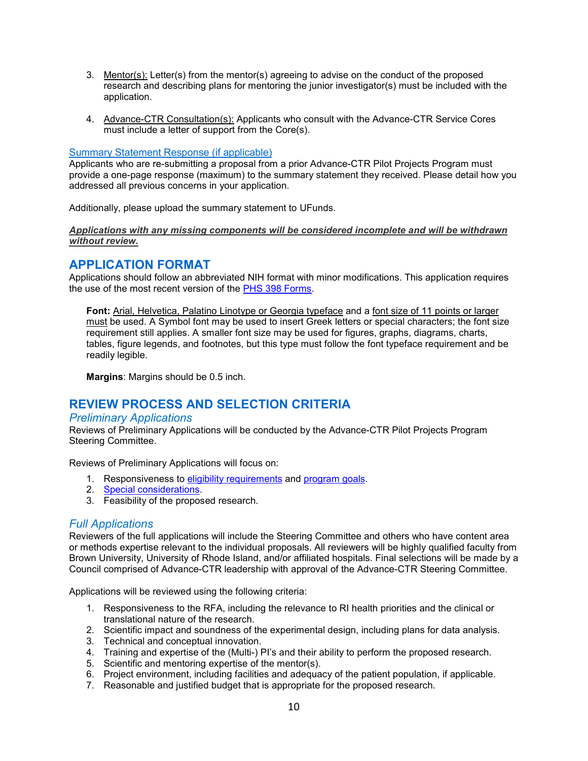- 3. Mentor(s): Letter(s) from the mentor(s) agreeing to advise on the conduct of the proposed research and describing plans for mentoring the junior investigator(s) must be included with the application.
- 4. Advance-CTR Consultation(s): Applicants who consult with the Advance-CTR Service Cores must include a letter of support from the Core(s).

#### Summary Statement Response (if applicable)

Applicants who are re-submitting a proposal from a prior Advance-CTR Pilot Projects Program must provide a one-page response (maximum) to the summary statement they received. Please detail how you addressed all previous concerns in your application.

Additionally, please upload the summary statement to UFunds.

#### *Applications with any missing components will be considered incomplete and will be withdrawn without review.*

## <span id="page-9-0"></span>**APPLICATION FORMAT**

Applications should follow an abbreviated NIH format with minor modifications. This application requires the use of the most recent version of the [PHS 398 Forms.](http://grants.nih.gov/grants/funding/phs398/phs398.html)

**Font:** Arial, Helvetica, Palatino Linotype or Georgia typeface and a font size of 11 points or larger must be used. A Symbol font may be used to insert Greek letters or special characters; the font size requirement still applies. A smaller font size may be used for figures, graphs, diagrams, charts, tables, figure legends, and footnotes, but this type must follow the font typeface requirement and be readily legible.

**Margins**: Margins should be 0.5 inch.

## <span id="page-9-1"></span>**REVIEW PROCESS AND SELECTION CRITERIA**

#### *Preliminary Applications*

Reviews of Preliminary Applications will be conducted by the Advance-CTR Pilot Projects Program Steering Committee.

Reviews of Preliminary Applications will focus on:

- 1. Responsiveness to [eligibility requirements](#page-0-1) and [program goals.](#page-2-0)
- 2. [Special considerations.](#page-2-1)
- 3. Feasibility of the proposed research.

#### *Full Applications*

Reviewers of the full applications will include the Steering Committee and others who have content area or methods expertise relevant to the individual proposals. All reviewers will be highly qualified faculty from Brown University, University of Rhode Island, and/or affiliated hospitals. Final selections will be made by a Council comprised of Advance-CTR leadership with approval of the Advance-CTR Steering Committee.

Applications will be reviewed using the following criteria:

- 1. Responsiveness to the RFA, including the relevance to RI health priorities and the clinical or translational nature of the research.
- 2. Scientific impact and soundness of the experimental design, including plans for data analysis.
- 3. Technical and conceptual innovation.
- 4. Training and expertise of the (Multi-) PI's and their ability to perform the proposed research.
- 5. Scientific and mentoring expertise of the mentor(s).
- 6. Project environment, including facilities and adequacy of the patient population, if applicable.
- 7. Reasonable and justified budget that is appropriate for the proposed research.